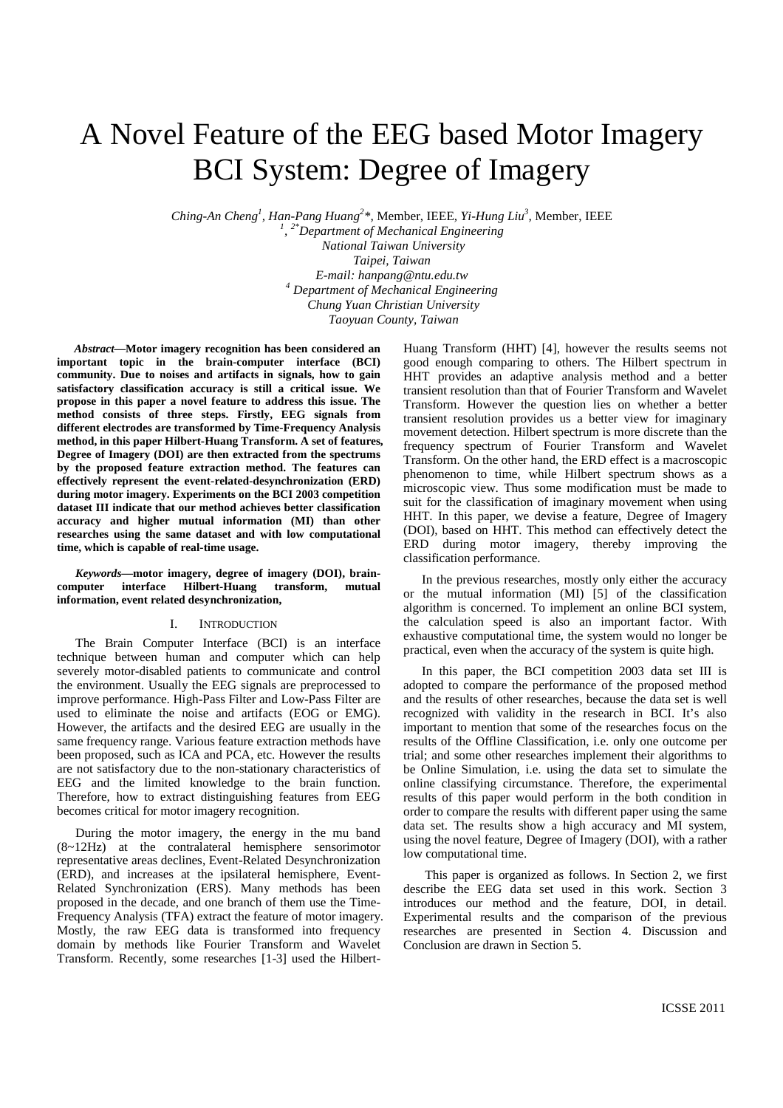# A Novel Feature of the EEG based Motor Imagery BCI System: Degree of Imagery

*Ching-An Cheng<sup>1</sup>, Han-Pang Huang*<sup>2</sup>\*, Member, IEEE, *Yi-Hung Liu<sup>3</sup>, Member, IEEE*, <sup>1</sup>, <sup>2\*</sup>*Department of Mechanical Engineering National Taiwan University Taipei, Taiwan E-mail: hanpang@ntu.edu.tw 4 Department of Mechanical Engineering Chung Yuan Christian University Taoyuan County, Taiwan* 

*Abstract***—Motor imagery recognition has been considered an important topic in the brain-computer interface (BCI) community. Due to noises and artifacts in signals, how to gain satisfactory classification accuracy is still a critical issue. We propose in this paper a novel feature to address this issue. The method consists of three steps. Firstly, EEG signals from different electrodes are transformed by Time-Frequency Analysis method, in this paper Hilbert-Huang Transform. A set of features, Degree of Imagery (DOI) are then extracted from the spectrums by the proposed feature extraction method. The features can effectively represent the event-related-desynchronization (ERD) during motor imagery. Experiments on the BCI 2003 competition dataset III indicate that our method achieves better classification accuracy and higher mutual information (MI) than other researches using the same dataset and with low computational time, which is capable of real-time usage.** 

*Keywords—***motor imagery, degree of imagery (DOI), braincomputer interface Hilbert-Huang transform, mutual information, event related desynchronization,**

# I. INTRODUCTION

The Brain Computer Interface (BCI) is an interface technique between human and computer which can help severely motor-disabled patients to communicate and control the environment. Usually the EEG signals are preprocessed to improve performance. High-Pass Filter and Low-Pass Filter are used to eliminate the noise and artifacts (EOG or EMG). However, the artifacts and the desired EEG are usually in the same frequency range. Various feature extraction methods have been proposed, such as ICA and PCA, etc. However the results are not satisfactory due to the non-stationary characteristics of EEG and the limited knowledge to the brain function. Therefore, how to extract distinguishing features from EEG becomes critical for motor imagery recognition.

During the motor imagery, the energy in the mu band (8~12Hz) at the contralateral hemisphere sensorimotor representative areas declines, Event-Related Desynchronization (ERD), and increases at the ipsilateral hemisphere, Event-Related Synchronization (ERS). Many methods has been proposed in the decade, and one branch of them use the Time-Frequency Analysis (TFA) extract the feature of motor imagery. Mostly, the raw EEG data is transformed into frequency domain by methods like Fourier Transform and Wavelet Transform. Recently, some researches [1-3] used the HilbertHuang Transform (HHT) [4], however the results seems not good enough comparing to others. The Hilbert spectrum in HHT provides an adaptive analysis method and a better transient resolution than that of Fourier Transform and Wavelet Transform. However the question lies on whether a better transient resolution provides us a better view for imaginary movement detection. Hilbert spectrum is more discrete than the frequency spectrum of Fourier Transform and Wavelet Transform. On the other hand, the ERD effect is a macroscopic phenomenon to time, while Hilbert spectrum shows as a microscopic view. Thus some modification must be made to suit for the classification of imaginary movement when using HHT. In this paper, we devise a feature, Degree of Imagery (DOI), based on HHT. This method can effectively detect the ERD during motor imagery, thereby improving the classification performance.

In the previous researches, mostly only either the accuracy or the mutual information (MI) [5] of the classification algorithm is concerned. To implement an online BCI system, the calculation speed is also an important factor. With exhaustive computational time, the system would no longer be practical, even when the accuracy of the system is quite high.

In this paper, the BCI competition 2003 data set III is adopted to compare the performance of the proposed method and the results of other researches, because the data set is well recognized with validity in the research in BCI. It's also important to mention that some of the researches focus on the results of the Offline Classification, i.e. only one outcome per trial; and some other researches implement their algorithms to be Online Simulation, i.e. using the data set to simulate the online classifying circumstance. Therefore, the experimental results of this paper would perform in the both condition in order to compare the results with different paper using the same data set. The results show a high accuracy and MI system, using the novel feature, Degree of Imagery (DOI), with a rather low computational time.

 This paper is organized as follows. In Section 2, we first describe the EEG data set used in this work. Section 3 introduces our method and the feature, DOI, in detail. Experimental results and the comparison of the previous researches are presented in Section 4. Discussion and Conclusion are drawn in Section 5.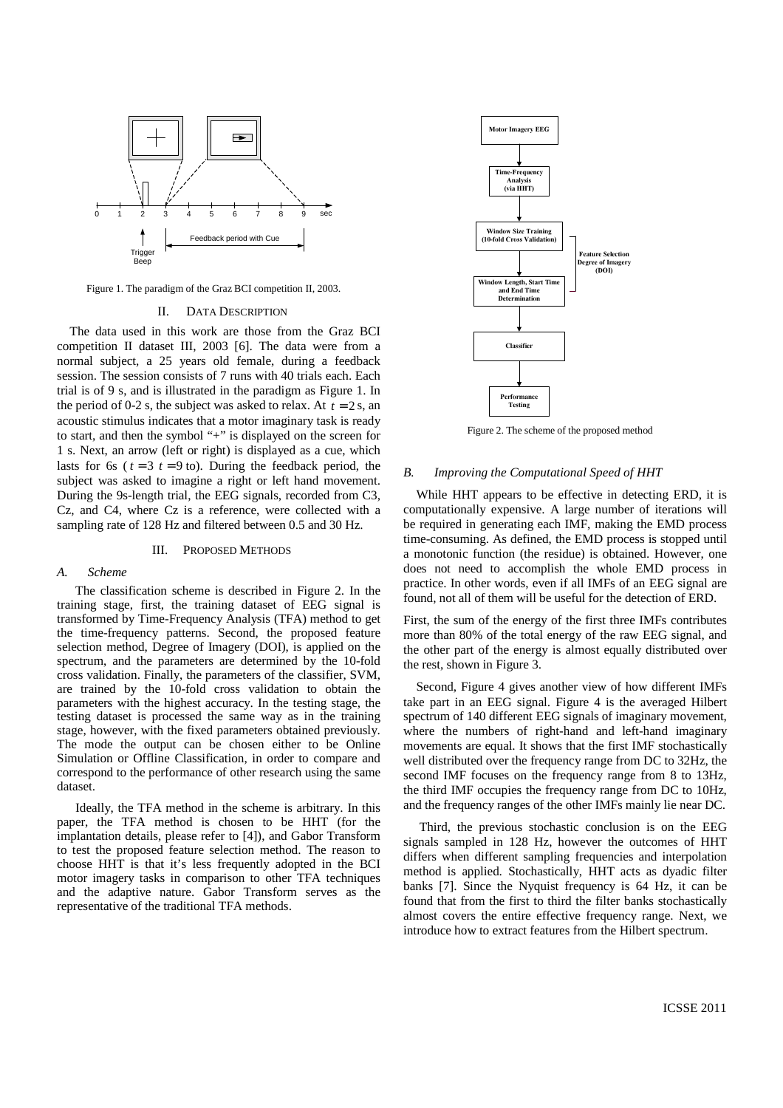

Figure 1. The paradigm of the Graz BCI competition II, 2003.

## II. DATA DESCRIPTION

The data used in this work are those from the Graz BCI competition II dataset III, 2003 [6]. The data were from a normal subject, a 25 years old female, during a feedback session. The session consists of 7 runs with 40 trials each. Each trial is of 9 s, and is illustrated in the paradigm as Figure 1. In the period of 0-2 s, the subject was asked to relax. At  $t = 2$  s, an acoustic stimulus indicates that a motor imaginary task is ready to start, and then the symbol "+" is displayed on the screen for 1 s. Next, an arrow (left or right) is displayed as a cue, which lasts for 6s ( $t = 3$   $t = 9$  to). During the feedback period, the subject was asked to imagine a right or left hand movement. During the 9s-length trial, the EEG signals, recorded from C3, Cz, and C4, where Cz is a reference, were collected with a sampling rate of 128 Hz and filtered between 0.5 and 30 Hz.

#### III. PROPOSED METHODS

## *A. Scheme*

The classification scheme is described in Figure 2. In the training stage, first, the training dataset of EEG signal is transformed by Time-Frequency Analysis (TFA) method to get the time-frequency patterns. Second, the proposed feature selection method, Degree of Imagery (DOI), is applied on the spectrum, and the parameters are determined by the 10-fold cross validation. Finally, the parameters of the classifier, SVM, are trained by the 10-fold cross validation to obtain the parameters with the highest accuracy. In the testing stage, the testing dataset is processed the same way as in the training stage, however, with the fixed parameters obtained previously. The mode the output can be chosen either to be Online Simulation or Offline Classification, in order to compare and correspond to the performance of other research using the same dataset.

Ideally, the TFA method in the scheme is arbitrary. In this paper, the TFA method is chosen to be HHT (for the implantation details, please refer to [4]), and Gabor Transform to test the proposed feature selection method. The reason to choose HHT is that it's less frequently adopted in the BCI motor imagery tasks in comparison to other TFA techniques and the adaptive nature. Gabor Transform serves as the representative of the traditional TFA methods.



Figure 2. The scheme of the proposed method

### *B. Improving the Computational Speed of HHT*

While HHT appears to be effective in detecting ERD, it is computationally expensive. A large number of iterations will be required in generating each IMF, making the EMD process time-consuming. As defined, the EMD process is stopped until a monotonic function (the residue) is obtained. However, one does not need to accomplish the whole EMD process in practice. In other words, even if all IMFs of an EEG signal are found, not all of them will be useful for the detection of ERD.

First, the sum of the energy of the first three IMFs contributes more than 80% of the total energy of the raw EEG signal, and the other part of the energy is almost equally distributed over the rest, shown in Figure 3.

Second, Figure 4 gives another view of how different IMFs take part in an EEG signal. Figure 4 is the averaged Hilbert spectrum of 140 different EEG signals of imaginary movement, where the numbers of right-hand and left-hand imaginary movements are equal. It shows that the first IMF stochastically well distributed over the frequency range from DC to 32Hz, the second IMF focuses on the frequency range from 8 to 13Hz, the third IMF occupies the frequency range from DC to 10Hz, and the frequency ranges of the other IMFs mainly lie near DC.

 Third, the previous stochastic conclusion is on the EEG signals sampled in 128 Hz, however the outcomes of HHT differs when different sampling frequencies and interpolation method is applied. Stochastically, HHT acts as dyadic filter banks [7]. Since the Nyquist frequency is 64 Hz, it can be found that from the first to third the filter banks stochastically almost covers the entire effective frequency range. Next, we introduce how to extract features from the Hilbert spectrum.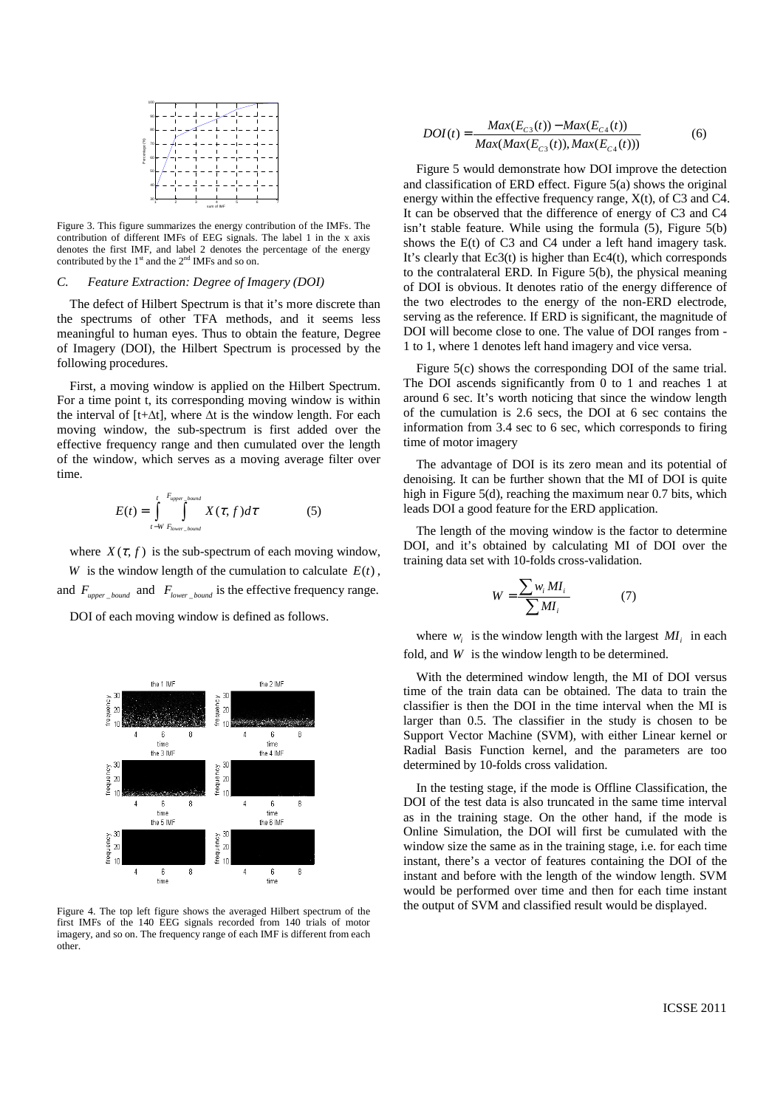

Figure 3. This figure summarizes the energy contribution of the IMFs. The contribution of different IMFs of EEG signals. The label 1 in the x axis denotes the first IMF, and label 2 denotes the percentage of the energy contributed by the  $1<sup>st</sup>$  and the  $2<sup>nd</sup>$  IMFs and so on.

#### *C. Feature Extraction: Degree of Imagery (DOI)*

The defect of Hilbert Spectrum is that it's more discrete than the spectrums of other TFA methods, and it seems less meaningful to human eyes. Thus to obtain the feature, Degree of Imagery (DOI), the Hilbert Spectrum is processed by the following procedures.

First, a moving window is applied on the Hilbert Spectrum. For a time point t, its corresponding moving window is within the interval of [t+∆t], where ∆t is the window length. For each moving window, the sub-spectrum is first added over the effective frequency range and then cumulated over the length of the window, which serves as a moving average filter over time.

$$
E(t) = \int_{t-W}^{t} \int_{E_{lower\_bound}}^{F_{upper\_bound}} X(\tau, f) d\tau
$$
 (5)

where  $X(\tau, f)$  is the sub-spectrum of each moving window, *W* is the window length of the cumulation to calculate  $E(t)$ , and  $F_{upper\_bound}$  and  $F_{lower\_bound}$  is the effective frequency range.

DOI of each moving window is defined as follows.



Figure 4. The top left figure shows the averaged Hilbert spectrum of the first IMFs of the 140 EEG signals recorded from 140 trials of motor imagery, and so on. The frequency range of each IMF is different from each other.

$$
DOI(t) = \frac{Max(E_{c3}(t)) - Max(E_{c4}(t))}{MaxMax(E_{c3}(t)), Max(E_{c4}(t)))}
$$
(6)

Figure 5 would demonstrate how DOI improve the detection and classification of ERD effect. Figure 5(a) shows the original energy within the effective frequency range, X(t), of C3 and C4. It can be observed that the difference of energy of C3 and C4 isn't stable feature. While using the formula (5), Figure 5(b) shows the E(t) of C3 and C4 under a left hand imagery task. It's clearly that  $Ec3(t)$  is higher than  $Ec4(t)$ , which corresponds to the contralateral ERD. In Figure 5(b), the physical meaning of DOI is obvious. It denotes ratio of the energy difference of the two electrodes to the energy of the non-ERD electrode, serving as the reference. If ERD is significant, the magnitude of DOI will become close to one. The value of DOI ranges from - 1 to 1, where 1 denotes left hand imagery and vice versa.

Figure 5(c) shows the corresponding DOI of the same trial. The DOI ascends significantly from 0 to 1 and reaches 1 at around 6 sec. It's worth noticing that since the window length of the cumulation is 2.6 secs, the DOI at 6 sec contains the information from 3.4 sec to 6 sec, which corresponds to firing time of motor imagery

The advantage of DOI is its zero mean and its potential of denoising. It can be further shown that the MI of DOI is quite high in Figure 5(d), reaching the maximum near 0.7 bits, which leads DOI a good feature for the ERD application.

The length of the moving window is the factor to determine DOI, and it's obtained by calculating MI of DOI over the training data set with 10-folds cross-validation.

$$
W = \frac{\sum w_i M I_i}{\sum M I_i} \tag{7}
$$

where  $w_i$  is the window length with the largest  $MI_i$  in each fold, and *W* is the window length to be determined.

With the determined window length, the MI of DOI versus time of the train data can be obtained. The data to train the classifier is then the DOI in the time interval when the MI is larger than 0.5. The classifier in the study is chosen to be Support Vector Machine (SVM), with either Linear kernel or Radial Basis Function kernel, and the parameters are too determined by 10-folds cross validation.

In the testing stage, if the mode is Offline Classification, the DOI of the test data is also truncated in the same time interval as in the training stage. On the other hand, if the mode is Online Simulation, the DOI will first be cumulated with the window size the same as in the training stage, i.e. for each time instant, there's a vector of features containing the DOI of the instant and before with the length of the window length. SVM would be performed over time and then for each time instant the output of SVM and classified result would be displayed.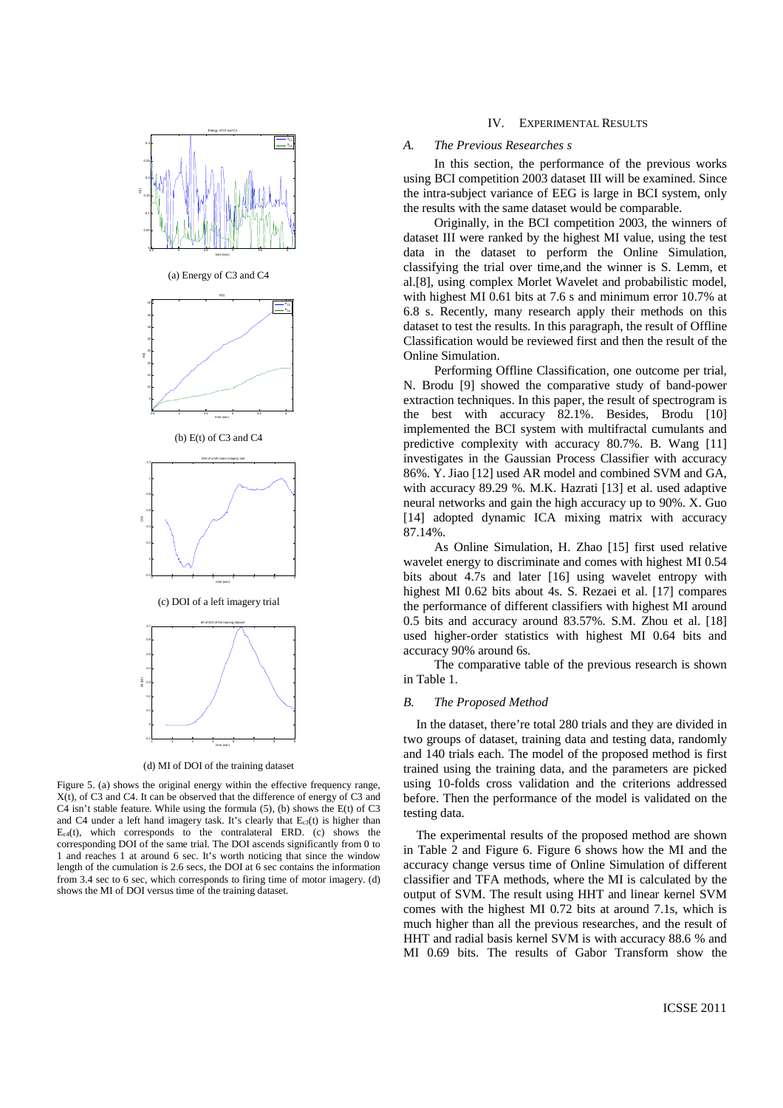

(d) MI of DOI of the training dataset

Figure 5. (a) shows the original energy within the effective frequency range, X(t), of C3 and C4. It can be observed that the difference of energy of C3 and C4 isn't stable feature. While using the formula  $(5)$ ,  $(b)$  shows the E(t) of C3 and C4 under a left hand imagery task. It's clearly that  $E_c(t)$  is higher than  $E_{c4}(t)$ , which corresponds to the contralateral ERD. (c) shows the corresponding DOI of the same trial. The DOI ascends significantly from 0 to 1 and reaches 1 at around 6 sec. It's worth noticing that since the window length of the cumulation is 2.6 secs, the DOI at 6 sec contains the information from 3.4 sec to 6 sec, which corresponds to firing time of motor imagery. (d) shows the MI of DOI versus time of the training dataset.

# IV. EXPERIMENTAL RESULTS

#### *A. The Previous Researches s*

In this section, the performance of the previous works using BCI competition 2003 dataset III will be examined. Since the intra-subject variance of EEG is large in BCI system, only the results with the same dataset would be comparable.

Originally, in the BCI competition 2003, the winners of dataset III were ranked by the highest MI value, using the test data in the dataset to perform the Online Simulation, classifying the trial over time,and the winner is S. Lemm, et al.[8], using complex Morlet Wavelet and probabilistic model, with highest MI 0.61 bits at 7.6 s and minimum error 10.7% at 6.8 s. Recently, many research apply their methods on this dataset to test the results. In this paragraph, the result of Offline Classification would be reviewed first and then the result of the Online Simulation.

Performing Offline Classification, one outcome per trial, N. Brodu [9] showed the comparative study of band-power extraction techniques. In this paper, the result of spectrogram is the best with accuracy 82.1%. Besides, Brodu [10] implemented the BCI system with multifractal cumulants and predictive complexity with accuracy 80.7%. B. Wang [11] investigates in the Gaussian Process Classifier with accuracy 86%. Y. Jiao [12] used AR model and combined SVM and GA, with accuracy 89.29 %. M.K. Hazrati [13] et al. used adaptive neural networks and gain the high accuracy up to 90%. X. Guo [14] adopted dynamic ICA mixing matrix with accuracy 87.14%.

As Online Simulation, H. Zhao [15] first used relative wavelet energy to discriminate and comes with highest MI 0.54 bits about 4.7s and later [16] using wavelet entropy with highest MI 0.62 bits about 4s. S. Rezaei et al. [17] compares the performance of different classifiers with highest MI around 0.5 bits and accuracy around 83.57%. S.M. Zhou et al. [18] used higher-order statistics with highest MI 0.64 bits and accuracy 90% around 6s.

The comparative table of the previous research is shown in Table 1.

## *B. The Proposed Method*

In the dataset, there're total 280 trials and they are divided in two groups of dataset, training data and testing data, randomly and 140 trials each. The model of the proposed method is first trained using the training data, and the parameters are picked using 10-folds cross validation and the criterions addressed before. Then the performance of the model is validated on the testing data.

The experimental results of the proposed method are shown in Table 2 and Figure 6. Figure 6 shows how the MI and the accuracy change versus time of Online Simulation of different classifier and TFA methods, where the MI is calculated by the output of SVM. The result using HHT and linear kernel SVM comes with the highest MI 0.72 bits at around 7.1s, which is much higher than all the previous researches, and the result of HHT and radial basis kernel SVM is with accuracy 88.6 % and MI 0.69 bits. The results of Gabor Transform show the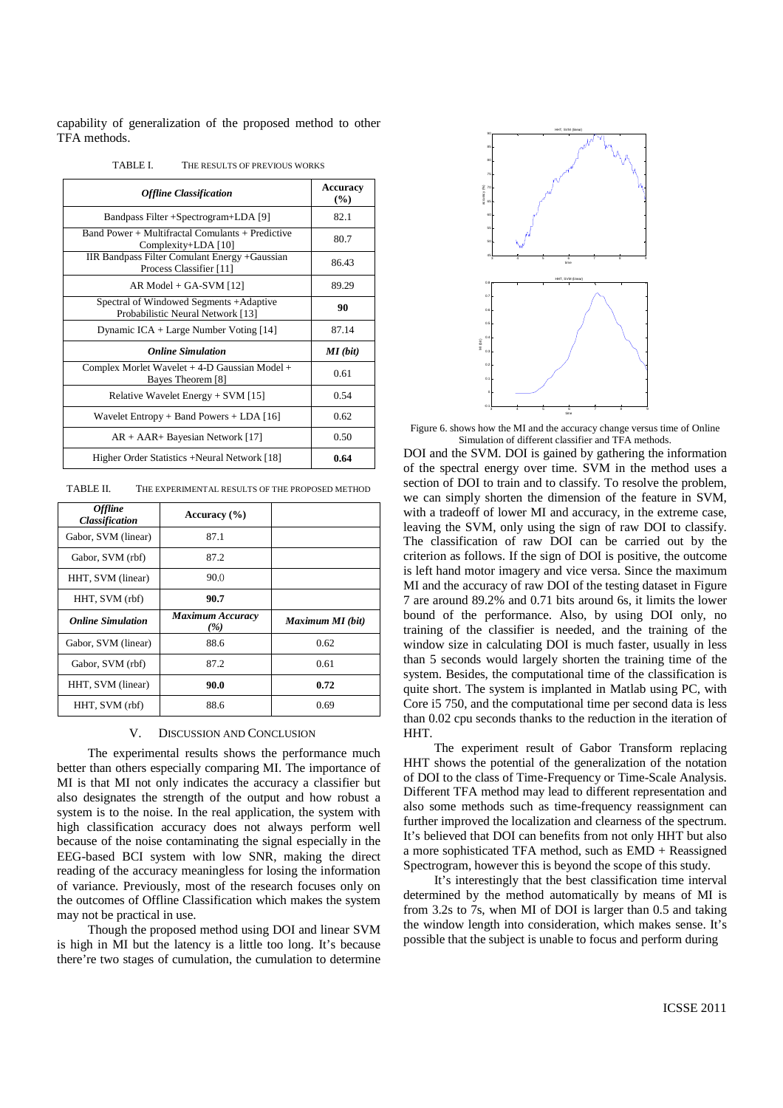capability of generalization of the proposed method to other TFA methods.

| <b>Offline Classification</b>                                                 | <b>Accuracy</b><br>$(\%)$ |
|-------------------------------------------------------------------------------|---------------------------|
| Bandpass Filter +Spectrogram+LDA [9]                                          | 82.1                      |
| Band Power + Multifractal Comulants + Predictive<br>Complexity+LDA $[10]$     | 80.7                      |
| IIR Bandpass Filter Comulant Energy + Gaussian<br>Process Classifier [11]     | 86.43                     |
| $AR Model + GA-SVM [12]$                                                      | 89.29                     |
| Spectral of Windowed Segments + Adaptive<br>Probabilistic Neural Network [13] | 90                        |
| Dynamic ICA + Large Number Voting [14]                                        | 87.14                     |
| <b>Online Simulation</b>                                                      | $MI$ (bit)                |
| Complex Morlet Wavelet $+$ 4-D Gaussian Model $+$<br>Bayes Theorem [8]        | 0.61                      |
| Relative Wavelet Energy + SVM [15]                                            | 0.54                      |
| Wavelet Entropy + Band Powers + LDA [16]                                      | 0.62                      |
| $AR + AAR + Bayesian Network [17]$                                            | 0.50                      |
| Higher Order Statistics +Neural Network [18]                                  | 0.64                      |

TABLE I. THE RESULTS OF PREVIOUS WORKS

TABLE II. THE EXPERIMENTAL RESULTS OF THE PROPOSED METHOD

| <i><b>Offline</b></i><br><b>Classification</b> | Accuracy $(\% )$               |                  |
|------------------------------------------------|--------------------------------|------------------|
| Gabor, SVM (linear)                            | 87.1                           |                  |
| Gabor, SVM (rbf)                               | 87.2                           |                  |
| HHT, SVM (linear)                              | 90.0                           |                  |
| HHT, SVM (rbf)                                 | 90.7                           |                  |
|                                                |                                |                  |
| <b>Online Simulation</b>                       | <b>Maximum Accuracy</b><br>(%) | Maximum MI (bit) |
| Gabor, SVM (linear)                            | 88.6                           | 0.62             |
| Gabor, SVM (rbf)                               | 87.2                           | 0.61             |
| HHT, SVM (linear)                              | 90.0                           | 0.72             |

## V. DISCUSSION AND CONCLUSION

The experimental results shows the performance much better than others especially comparing MI. The importance of MI is that MI not only indicates the accuracy a classifier but also designates the strength of the output and how robust a system is to the noise. In the real application, the system with high classification accuracy does not always perform well because of the noise contaminating the signal especially in the EEG-based BCI system with low SNR, making the direct reading of the accuracy meaningless for losing the information of variance. Previously, most of the research focuses only on the outcomes of Offline Classification which makes the system may not be practical in use.

Though the proposed method using DOI and linear SVM is high in MI but the latency is a little too long. It's because there're two stages of cumulation, the cumulation to determine



Figure 6. shows how the MI and the accuracy change versus time of Online Simulation of different classifier and TFA methods.

DOI and the SVM. DOI is gained by gathering the information of the spectral energy over time. SVM in the method uses a section of DOI to train and to classify. To resolve the problem, we can simply shorten the dimension of the feature in SVM, with a tradeoff of lower MI and accuracy, in the extreme case, leaving the SVM, only using the sign of raw DOI to classify. The classification of raw DOI can be carried out by the criterion as follows. If the sign of DOI is positive, the outcome is left hand motor imagery and vice versa. Since the maximum MI and the accuracy of raw DOI of the testing dataset in Figure 7 are around 89.2% and 0.71 bits around 6s, it limits the lower bound of the performance. Also, by using DOI only, no training of the classifier is needed, and the training of the window size in calculating DOI is much faster, usually in less than 5 seconds would largely shorten the training time of the system. Besides, the computational time of the classification is quite short. The system is implanted in Matlab using PC, with Core i5 750, and the computational time per second data is less than 0.02 cpu seconds thanks to the reduction in the iteration of HHT.

The experiment result of Gabor Transform replacing HHT shows the potential of the generalization of the notation of DOI to the class of Time-Frequency or Time-Scale Analysis. Different TFA method may lead to different representation and also some methods such as time-frequency reassignment can further improved the localization and clearness of the spectrum. It's believed that DOI can benefits from not only HHT but also a more sophisticated TFA method, such as EMD + Reassigned Spectrogram, however this is beyond the scope of this study.

It's interestingly that the best classification time interval determined by the method automatically by means of MI is from 3.2s to 7s, when MI of DOI is larger than 0.5 and taking the window length into consideration, which makes sense. It's possible that the subject is unable to focus and perform during